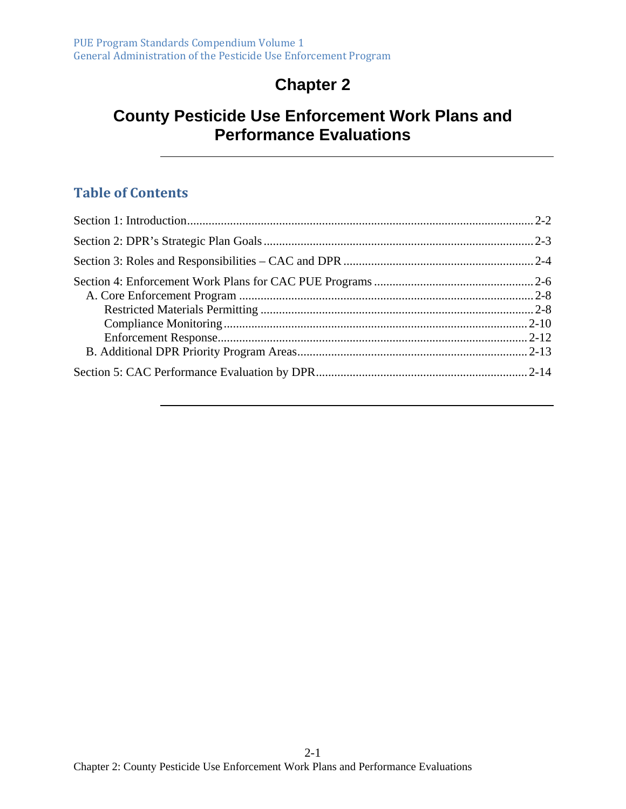# **Chapter 2**

## **County Pesticide Use Enforcement Work Plans and Performance Evaluations**

#### **Table of Contents**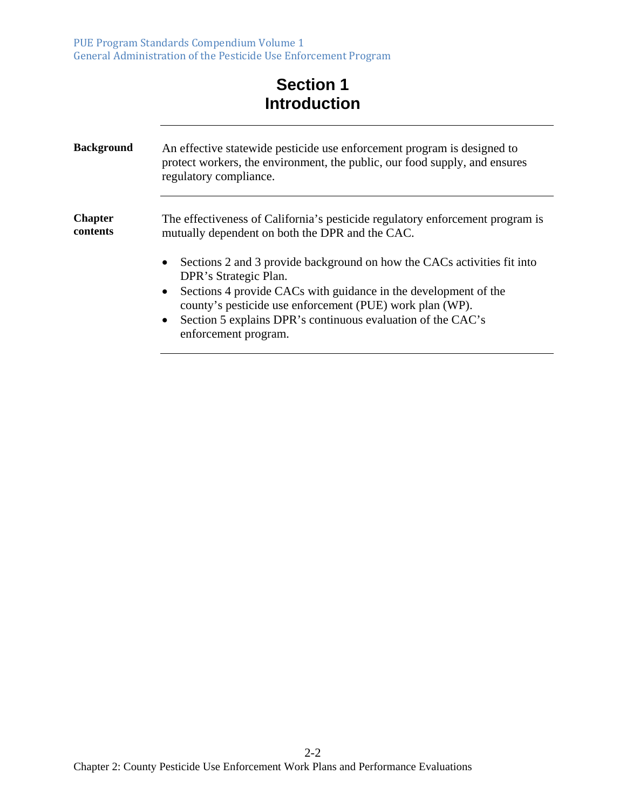PUE Program Standards Compendium Volume 1 General Administration of the Pesticide Use Enforcement Program

# **Section 1 Introduction**

| <b>Background</b>          | An effective statewide pesticide use enforcement program is designed to<br>protect workers, the environment, the public, our food supply, and ensures<br>regulatory compliance.                                                                                       |
|----------------------------|-----------------------------------------------------------------------------------------------------------------------------------------------------------------------------------------------------------------------------------------------------------------------|
| <b>Chapter</b><br>contents | The effectiveness of California's pesticide regulatory enforcement program is<br>mutually dependent on both the DPR and the CAC.<br>Sections 2 and 3 provide background on how the CACs activities fit into<br>$\bullet$                                              |
|                            | DPR's Strategic Plan.<br>Sections 4 provide CACs with guidance in the development of the<br>$\bullet$<br>county's pesticide use enforcement (PUE) work plan (WP).<br>Section 5 explains DPR's continuous evaluation of the CAC's<br>$\bullet$<br>enforcement program. |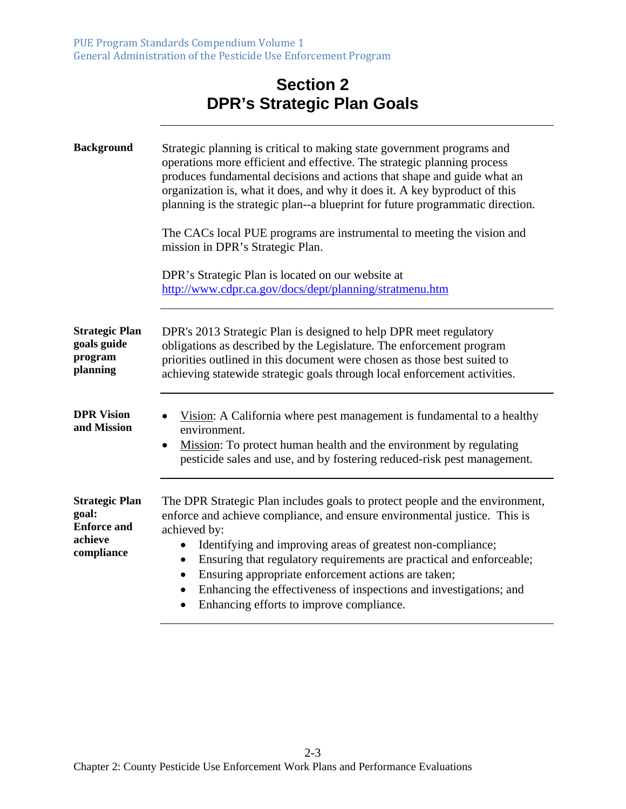## **Section 2 DPR's Strategic Plan Goals**

| <b>Background</b>                                                             | Strategic planning is critical to making state government programs and<br>operations more efficient and effective. The strategic planning process<br>produces fundamental decisions and actions that shape and guide what an<br>organization is, what it does, and why it does it. A key byproduct of this<br>planning is the strategic plan--a blueprint for future programmatic direction.<br>The CACs local PUE programs are instrumental to meeting the vision and<br>mission in DPR's Strategic Plan.                            |
|-------------------------------------------------------------------------------|---------------------------------------------------------------------------------------------------------------------------------------------------------------------------------------------------------------------------------------------------------------------------------------------------------------------------------------------------------------------------------------------------------------------------------------------------------------------------------------------------------------------------------------|
|                                                                               | DPR's Strategic Plan is located on our website at<br>http://www.cdpr.ca.gov/docs/dept/planning/stratmenu.htm                                                                                                                                                                                                                                                                                                                                                                                                                          |
| <b>Strategic Plan</b><br>goals guide<br>program<br>planning                   | DPR's 2013 Strategic Plan is designed to help DPR meet regulatory<br>obligations as described by the Legislature. The enforcement program<br>priorities outlined in this document were chosen as those best suited to<br>achieving statewide strategic goals through local enforcement activities.                                                                                                                                                                                                                                    |
| <b>DPR Vision</b><br>and Mission                                              | Vision: A California where pest management is fundamental to a healthy<br>environment.<br>Mission: To protect human health and the environment by regulating<br>$\bullet$<br>pesticide sales and use, and by fostering reduced-risk pest management.                                                                                                                                                                                                                                                                                  |
| <b>Strategic Plan</b><br>goal:<br><b>Enforce and</b><br>achieve<br>compliance | The DPR Strategic Plan includes goals to protect people and the environment,<br>enforce and achieve compliance, and ensure environmental justice. This is<br>achieved by:<br>Identifying and improving areas of greatest non-compliance;<br>$\bullet$<br>Ensuring that regulatory requirements are practical and enforceable;<br>$\bullet$<br>Ensuring appropriate enforcement actions are taken;<br>٠<br>Enhancing the effectiveness of inspections and investigations; and<br>$\bullet$<br>Enhancing efforts to improve compliance. |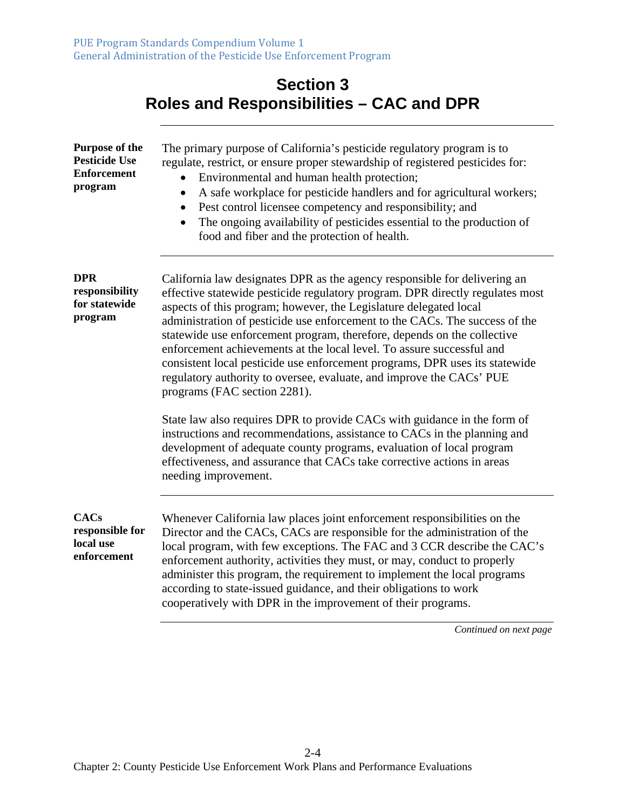## **Section 3 Roles and Responsibilities – CAC and DPR**

| Purpose of the<br><b>Pesticide Use</b><br><b>Enforcement</b><br>program | The primary purpose of California's pesticide regulatory program is to<br>regulate, restrict, or ensure proper stewardship of registered pesticides for:<br>Environmental and human health protection;<br>$\bullet$<br>A safe workplace for pesticide handlers and for agricultural workers;<br>$\bullet$<br>Pest control licensee competency and responsibility; and<br>$\bullet$<br>The ongoing availability of pesticides essential to the production of<br>food and fiber and the protection of health.                                                                                                                                               |
|-------------------------------------------------------------------------|-----------------------------------------------------------------------------------------------------------------------------------------------------------------------------------------------------------------------------------------------------------------------------------------------------------------------------------------------------------------------------------------------------------------------------------------------------------------------------------------------------------------------------------------------------------------------------------------------------------------------------------------------------------|
| <b>DPR</b><br>responsibility<br>for statewide<br>program                | California law designates DPR as the agency responsible for delivering an<br>effective statewide pesticide regulatory program. DPR directly regulates most<br>aspects of this program; however, the Legislature delegated local<br>administration of pesticide use enforcement to the CACs. The success of the<br>statewide use enforcement program, therefore, depends on the collective<br>enforcement achievements at the local level. To assure successful and<br>consistent local pesticide use enforcement programs, DPR uses its statewide<br>regulatory authority to oversee, evaluate, and improve the CACs' PUE<br>programs (FAC section 2281). |
|                                                                         | State law also requires DPR to provide CACs with guidance in the form of<br>instructions and recommendations, assistance to CACs in the planning and<br>development of adequate county programs, evaluation of local program<br>effectiveness, and assurance that CACs take corrective actions in areas<br>needing improvement.                                                                                                                                                                                                                                                                                                                           |
| <b>CACs</b><br>responsible for<br>local use<br>enforcement              | Whenever California law places joint enforcement responsibilities on the<br>Director and the CACs, CACs are responsible for the administration of the<br>local program, with few exceptions. The FAC and 3 CCR describe the CAC's<br>enforcement authority, activities they must, or may, conduct to properly<br>administer this program, the requirement to implement the local programs<br>according to state-issued guidance, and their obligations to work<br>cooperatively with DPR in the improvement of their programs.                                                                                                                            |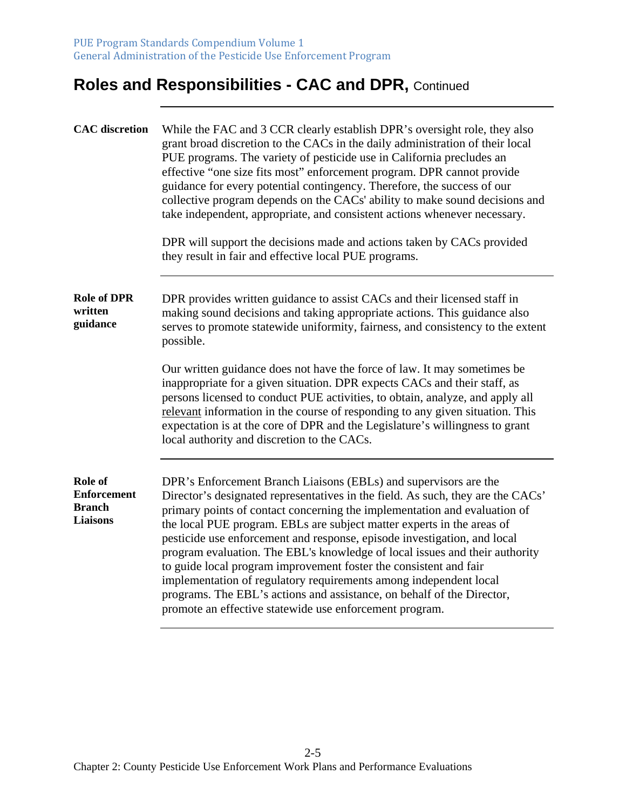# **Roles and Responsibilities - CAC and DPR,** Continued

| <b>CAC</b> discretion                                             | While the FAC and 3 CCR clearly establish DPR's oversight role, they also<br>grant broad discretion to the CACs in the daily administration of their local<br>PUE programs. The variety of pesticide use in California precludes an<br>effective "one size fits most" enforcement program. DPR cannot provide<br>guidance for every potential contingency. Therefore, the success of our<br>collective program depends on the CACs' ability to make sound decisions and<br>take independent, appropriate, and consistent actions whenever necessary.<br>DPR will support the decisions made and actions taken by CACs provided<br>they result in fair and effective local PUE programs.                                                              |
|-------------------------------------------------------------------|------------------------------------------------------------------------------------------------------------------------------------------------------------------------------------------------------------------------------------------------------------------------------------------------------------------------------------------------------------------------------------------------------------------------------------------------------------------------------------------------------------------------------------------------------------------------------------------------------------------------------------------------------------------------------------------------------------------------------------------------------|
| <b>Role of DPR</b><br>written<br>guidance                         | DPR provides written guidance to assist CACs and their licensed staff in<br>making sound decisions and taking appropriate actions. This guidance also<br>serves to promote statewide uniformity, fairness, and consistency to the extent<br>possible.<br>Our written guidance does not have the force of law. It may sometimes be<br>inappropriate for a given situation. DPR expects CACs and their staff, as                                                                                                                                                                                                                                                                                                                                       |
|                                                                   | persons licensed to conduct PUE activities, to obtain, analyze, and apply all<br>relevant information in the course of responding to any given situation. This<br>expectation is at the core of DPR and the Legislature's willingness to grant<br>local authority and discretion to the CACs.                                                                                                                                                                                                                                                                                                                                                                                                                                                        |
| Role of<br><b>Enforcement</b><br><b>Branch</b><br><b>Liaisons</b> | DPR's Enforcement Branch Liaisons (EBLs) and supervisors are the<br>Director's designated representatives in the field. As such, they are the CACs'<br>primary points of contact concerning the implementation and evaluation of<br>the local PUE program. EBLs are subject matter experts in the areas of<br>pesticide use enforcement and response, episode investigation, and local<br>program evaluation. The EBL's knowledge of local issues and their authority<br>to guide local program improvement foster the consistent and fair<br>implementation of regulatory requirements among independent local<br>programs. The EBL's actions and assistance, on behalf of the Director,<br>promote an effective statewide use enforcement program. |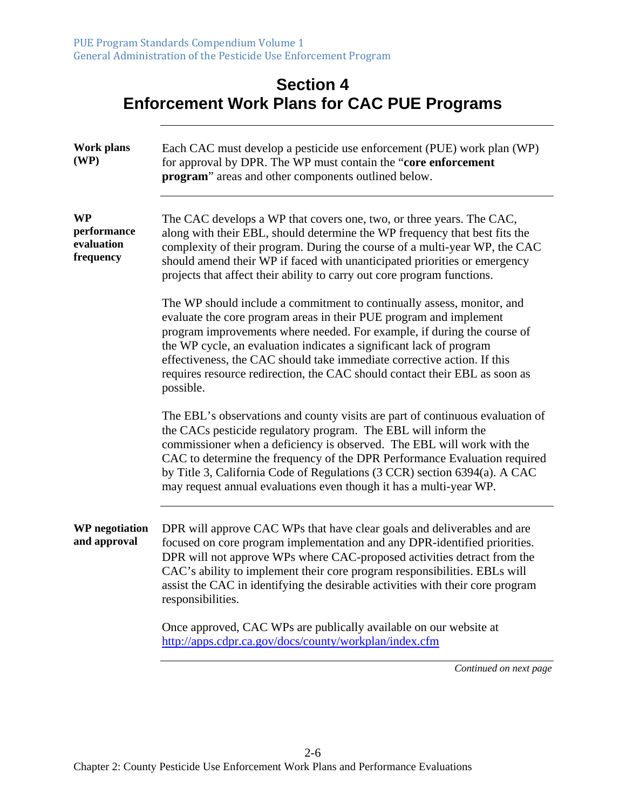# **Section 4 Enforcement Work Plans for CAC PUE Programs**

| <b>Work plans</b><br>(WP)                           | Each CAC must develop a pesticide use enforcement (PUE) work plan (WP)<br>for approval by DPR. The WP must contain the "core enforcement<br>program" areas and other components outlined below.                                                                                                                                                                                                                                                                      |
|-----------------------------------------------------|----------------------------------------------------------------------------------------------------------------------------------------------------------------------------------------------------------------------------------------------------------------------------------------------------------------------------------------------------------------------------------------------------------------------------------------------------------------------|
| <b>WP</b><br>performance<br>evaluation<br>frequency | The CAC develops a WP that covers one, two, or three years. The CAC,<br>along with their EBL, should determine the WP frequency that best fits the<br>complexity of their program. During the course of a multi-year WP, the CAC<br>should amend their WP if faced with unanticipated priorities or emergency<br>projects that affect their ability to carry out core program functions.                                                                             |
|                                                     | The WP should include a commitment to continually assess, monitor, and<br>evaluate the core program areas in their PUE program and implement<br>program improvements where needed. For example, if during the course of<br>the WP cycle, an evaluation indicates a significant lack of program<br>effectiveness, the CAC should take immediate corrective action. If this<br>requires resource redirection, the CAC should contact their EBL as soon as<br>possible. |
|                                                     | The EBL's observations and county visits are part of continuous evaluation of<br>the CACs pesticide regulatory program. The EBL will inform the<br>commissioner when a deficiency is observed. The EBL will work with the<br>CAC to determine the frequency of the DPR Performance Evaluation required<br>by Title 3, California Code of Regulations (3 CCR) section 6394(a). A CAC<br>may request annual evaluations even though it has a multi-year WP.            |
| <b>WP</b> negotiation<br>and approval               | DPR will approve CAC WPs that have clear goals and deliverables and are<br>focused on core program implementation and any DPR-identified priorities.<br>DPR will not approve WPs where CAC-proposed activities detract from the<br>CAC's ability to implement their core program responsibilities. EBLs will<br>assist the CAC in identifying the desirable activities with their core program<br>responsibilities.                                                  |
|                                                     | Once approved, CAC WPs are publically available on our website at<br>http://apps.cdpr.ca.gov/docs/county/workplan/index.cfm                                                                                                                                                                                                                                                                                                                                          |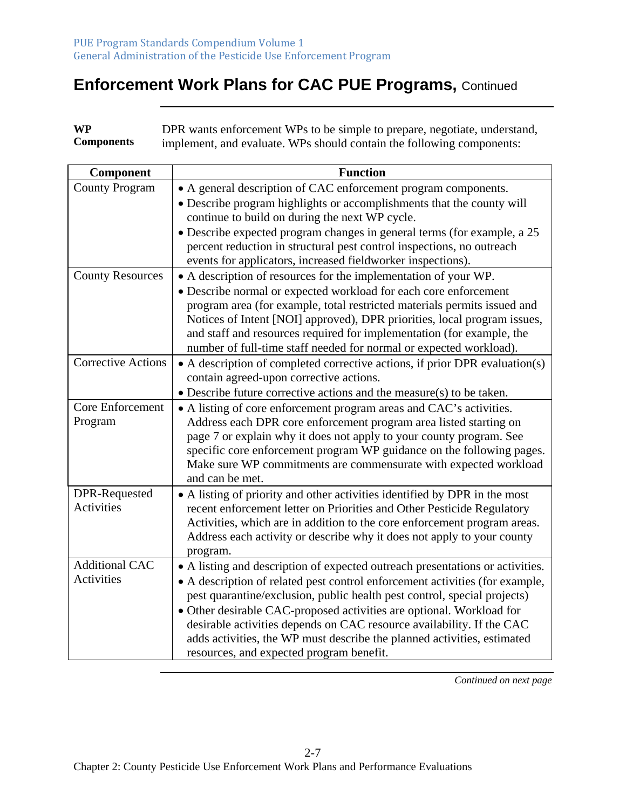**WP Components**  DPR wants enforcement WPs to be simple to prepare, negotiate, understand, implement, and evaluate. WPs should contain the following components:

| Component                 | <b>Function</b>                                                                                                                             |
|---------------------------|---------------------------------------------------------------------------------------------------------------------------------------------|
| <b>County Program</b>     | • A general description of CAC enforcement program components.                                                                              |
|                           | • Describe program highlights or accomplishments that the county will                                                                       |
|                           | continue to build on during the next WP cycle.                                                                                              |
|                           | • Describe expected program changes in general terms (for example, a 25                                                                     |
|                           | percent reduction in structural pest control inspections, no outreach                                                                       |
|                           | events for applicators, increased fieldworker inspections).                                                                                 |
| <b>County Resources</b>   | • A description of resources for the implementation of your WP.                                                                             |
|                           | • Describe normal or expected workload for each core enforcement                                                                            |
|                           | program area (for example, total restricted materials permits issued and                                                                    |
|                           | Notices of Intent [NOI] approved), DPR priorities, local program issues,                                                                    |
|                           | and staff and resources required for implementation (for example, the<br>number of full-time staff needed for normal or expected workload). |
| <b>Corrective Actions</b> | • A description of completed corrective actions, if prior DPR evaluation(s)                                                                 |
|                           | contain agreed-upon corrective actions.                                                                                                     |
|                           | $\bullet$ Describe future corrective actions and the measure(s) to be taken.                                                                |
| Core Enforcement          | • A listing of core enforcement program areas and CAC's activities.                                                                         |
| Program                   | Address each DPR core enforcement program area listed starting on                                                                           |
|                           | page 7 or explain why it does not apply to your county program. See                                                                         |
|                           | specific core enforcement program WP guidance on the following pages.                                                                       |
|                           | Make sure WP commitments are commensurate with expected workload                                                                            |
|                           | and can be met.                                                                                                                             |
| DPR-Requested             | • A listing of priority and other activities identified by DPR in the most                                                                  |
| Activities                | recent enforcement letter on Priorities and Other Pesticide Regulatory                                                                      |
|                           | Activities, which are in addition to the core enforcement program areas.                                                                    |
|                           | Address each activity or describe why it does not apply to your county                                                                      |
|                           | program.                                                                                                                                    |
| <b>Additional CAC</b>     | • A listing and description of expected outreach presentations or activities.                                                               |
| <b>Activities</b>         | • A description of related pest control enforcement activities (for example,                                                                |
|                           | pest quarantine/exclusion, public health pest control, special projects)                                                                    |
|                           | • Other desirable CAC-proposed activities are optional. Workload for                                                                        |
|                           | desirable activities depends on CAC resource availability. If the CAC                                                                       |
|                           | adds activities, the WP must describe the planned activities, estimated                                                                     |
|                           | resources, and expected program benefit.                                                                                                    |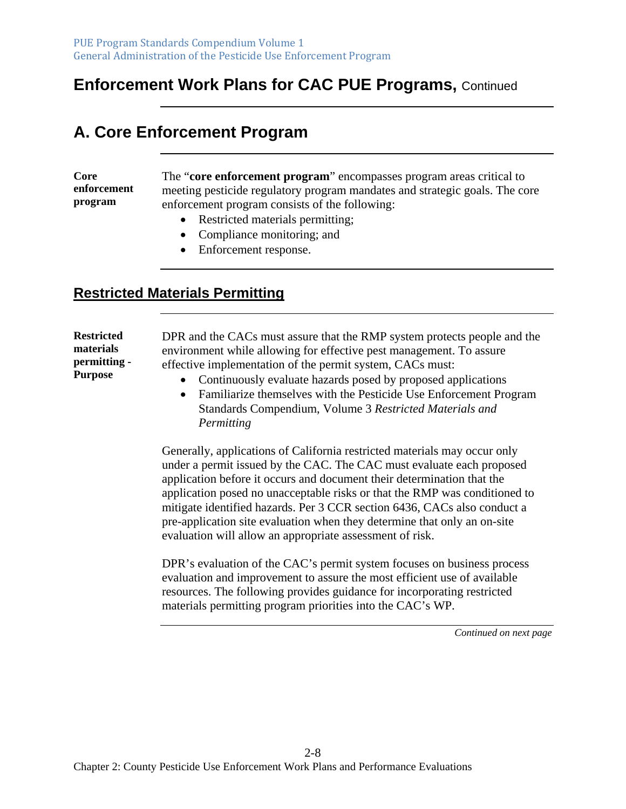# **A. Core Enforcement Program**

**Core enforcement program** 

The "**core enforcement program**" encompasses program areas critical to meeting pesticide regulatory program mandates and strategic goals. The core enforcement program consists of the following:

- Restricted materials permitting;
- Compliance monitoring; and
- Enforcement response.

#### **Restricted Materials Permitting**

**Restricted materials permitting - Purpose**  DPR and the CACs must assure that the RMP system protects people and the environment while allowing for effective pest management. To assure effective implementation of the permit system, CACs must:

- Continuously evaluate hazards posed by proposed applications
- Familiarize themselves with the Pesticide Use Enforcement Program Standards Compendium, Volume 3 *Restricted Materials and Permitting*

Generally, applications of California restricted materials may occur only under a permit issued by the CAC. The CAC must evaluate each proposed application before it occurs and document their determination that the application posed no unacceptable risks or that the RMP was conditioned to mitigate identified hazards. Per 3 CCR section 6436, CACs also conduct a pre-application site evaluation when they determine that only an on-site evaluation will allow an appropriate assessment of risk.

DPR's evaluation of the CAC's permit system focuses on business process evaluation and improvement to assure the most efficient use of available resources. The following provides guidance for incorporating restricted materials permitting program priorities into the CAC's WP.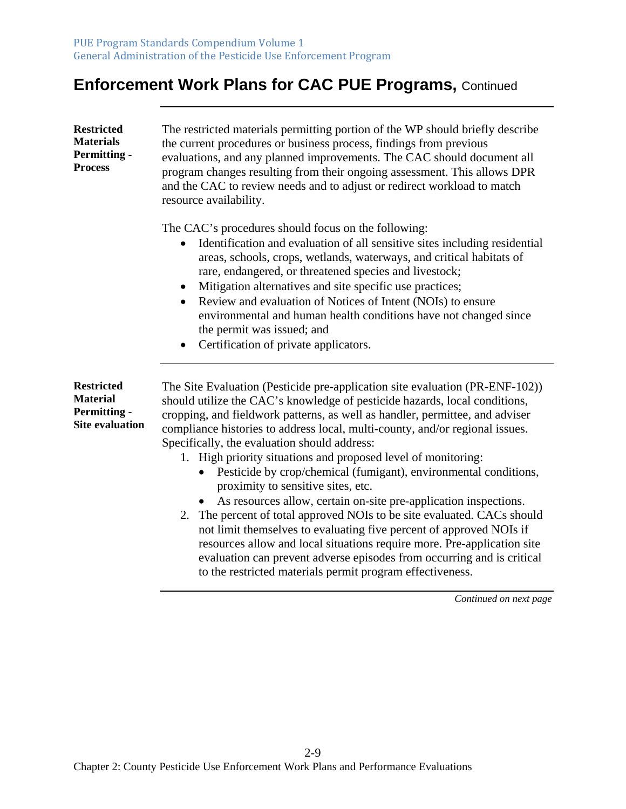| <b>Restricted</b><br><b>Materials</b><br><b>Permitting -</b><br><b>Process</b>        | The restricted materials permitting portion of the WP should briefly describe<br>the current procedures or business process, findings from previous<br>evaluations, and any planned improvements. The CAC should document all<br>program changes resulting from their ongoing assessment. This allows DPR<br>and the CAC to review needs and to adjust or redirect workload to match<br>resource availability.                                                                                                                                                                                                                                                                                                                                                                                                                                                                                                                                                                                   |
|---------------------------------------------------------------------------------------|--------------------------------------------------------------------------------------------------------------------------------------------------------------------------------------------------------------------------------------------------------------------------------------------------------------------------------------------------------------------------------------------------------------------------------------------------------------------------------------------------------------------------------------------------------------------------------------------------------------------------------------------------------------------------------------------------------------------------------------------------------------------------------------------------------------------------------------------------------------------------------------------------------------------------------------------------------------------------------------------------|
|                                                                                       | The CAC's procedures should focus on the following:<br>Identification and evaluation of all sensitive sites including residential<br>areas, schools, crops, wetlands, waterways, and critical habitats of<br>rare, endangered, or threatened species and livestock;<br>Mitigation alternatives and site specific use practices;<br>Review and evaluation of Notices of Intent (NOIs) to ensure<br>environmental and human health conditions have not changed since<br>the permit was issued; and<br>Certification of private applicators.                                                                                                                                                                                                                                                                                                                                                                                                                                                        |
| <b>Restricted</b><br><b>Material</b><br><b>Permitting -</b><br><b>Site evaluation</b> | The Site Evaluation (Pesticide pre-application site evaluation (PR-ENF-102))<br>should utilize the CAC's knowledge of pesticide hazards, local conditions,<br>cropping, and fieldwork patterns, as well as handler, permittee, and adviser<br>compliance histories to address local, multi-county, and/or regional issues.<br>Specifically, the evaluation should address:<br>1. High priority situations and proposed level of monitoring:<br>Pesticide by crop/chemical (fumigant), environmental conditions,<br>proximity to sensitive sites, etc.<br>As resources allow, certain on-site pre-application inspections.<br>The percent of total approved NOIs to be site evaluated. CACs should<br>2.<br>not limit themselves to evaluating five percent of approved NOIs if<br>resources allow and local situations require more. Pre-application site<br>evaluation can prevent adverse episodes from occurring and is critical<br>to the restricted materials permit program effectiveness. |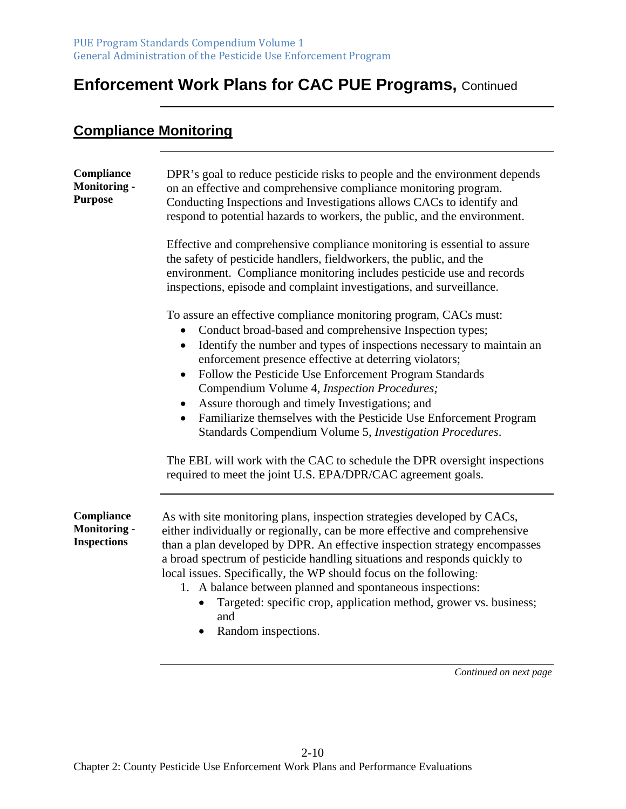#### **Compliance Monitoring**

| Compliance<br><b>Monitoring -</b><br><b>Purpose</b>     | DPR's goal to reduce pesticide risks to people and the environment depends<br>on an effective and comprehensive compliance monitoring program.<br>Conducting Inspections and Investigations allows CACs to identify and<br>respond to potential hazards to workers, the public, and the environment.                                                                                                                                                                                                                                                                                                                                                                                                                |
|---------------------------------------------------------|---------------------------------------------------------------------------------------------------------------------------------------------------------------------------------------------------------------------------------------------------------------------------------------------------------------------------------------------------------------------------------------------------------------------------------------------------------------------------------------------------------------------------------------------------------------------------------------------------------------------------------------------------------------------------------------------------------------------|
|                                                         | Effective and comprehensive compliance monitoring is essential to assure<br>the safety of pesticide handlers, fieldworkers, the public, and the<br>environment. Compliance monitoring includes pesticide use and records<br>inspections, episode and complaint investigations, and surveillance.                                                                                                                                                                                                                                                                                                                                                                                                                    |
|                                                         | To assure an effective compliance monitoring program, CACs must:<br>Conduct broad-based and comprehensive Inspection types;<br>Identify the number and types of inspections necessary to maintain an<br>$\bullet$<br>enforcement presence effective at deterring violators;<br>Follow the Pesticide Use Enforcement Program Standards<br>Compendium Volume 4, Inspection Procedures;<br>Assure thorough and timely Investigations; and<br>Familiarize themselves with the Pesticide Use Enforcement Program<br>Standards Compendium Volume 5, Investigation Procedures.<br>The EBL will work with the CAC to schedule the DPR oversight inspections<br>required to meet the joint U.S. EPA/DPR/CAC agreement goals. |
| Compliance<br><b>Monitoring -</b><br><b>Inspections</b> | As with site monitoring plans, inspection strategies developed by CACs,<br>either individually or regionally, can be more effective and comprehensive<br>than a plan developed by DPR. An effective inspection strategy encompasses<br>a broad spectrum of pesticide handling situations and responds quickly to<br>local issues. Specifically, the WP should focus on the following:<br>1. A balance between planned and spontaneous inspections:<br>Targeted: specific crop, application method, grower vs. business;<br>and<br>Random inspections.<br>$\bullet$                                                                                                                                                  |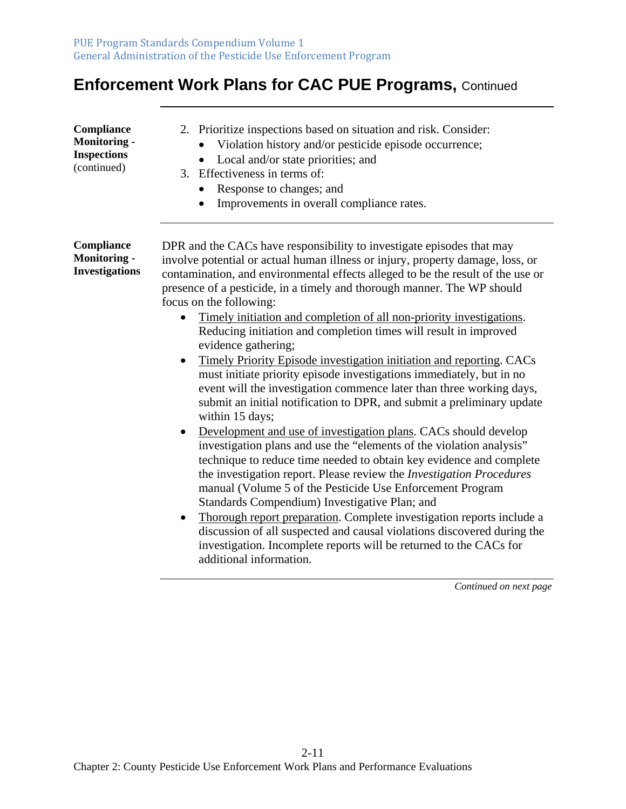| Compliance<br><b>Monitoring -</b><br><b>Inspections</b><br>(continued) | 2. Prioritize inspections based on situation and risk. Consider:<br>Violation history and/or pesticide episode occurrence;<br>Local and/or state priorities; and<br>$\bullet$<br>3. Effectiveness in terms of:<br>Response to changes; and<br>$\bullet$<br>Improvements in overall compliance rates.<br>$\bullet$                                                                                                                                                                                                                                                                                                                                                                                                                                                                                                                                                                                                                                                                                                                                                                                                                                                                                                                                                                                                                                                                                                                                                                                            |
|------------------------------------------------------------------------|--------------------------------------------------------------------------------------------------------------------------------------------------------------------------------------------------------------------------------------------------------------------------------------------------------------------------------------------------------------------------------------------------------------------------------------------------------------------------------------------------------------------------------------------------------------------------------------------------------------------------------------------------------------------------------------------------------------------------------------------------------------------------------------------------------------------------------------------------------------------------------------------------------------------------------------------------------------------------------------------------------------------------------------------------------------------------------------------------------------------------------------------------------------------------------------------------------------------------------------------------------------------------------------------------------------------------------------------------------------------------------------------------------------------------------------------------------------------------------------------------------------|
| Compliance<br><b>Monitoring -</b><br><b>Investigations</b>             | DPR and the CACs have responsibility to investigate episodes that may<br>involve potential or actual human illness or injury, property damage, loss, or<br>contamination, and environmental effects alleged to be the result of the use or<br>presence of a pesticide, in a timely and thorough manner. The WP should<br>focus on the following:<br>Timely initiation and completion of all non-priority investigations.<br>Reducing initiation and completion times will result in improved<br>evidence gathering;<br>Timely Priority Episode investigation initiation and reporting. CACs<br>must initiate priority episode investigations immediately, but in no<br>event will the investigation commence later than three working days,<br>submit an initial notification to DPR, and submit a preliminary update<br>within 15 days;<br>Development and use of investigation plans. CACs should develop<br>investigation plans and use the "elements of the violation analysis"<br>technique to reduce time needed to obtain key evidence and complete<br>the investigation report. Please review the <i>Investigation Procedures</i><br>manual (Volume 5 of the Pesticide Use Enforcement Program<br>Standards Compendium) Investigative Plan; and<br>Thorough report preparation. Complete investigation reports include a<br>discussion of all suspected and causal violations discovered during the<br>investigation. Incomplete reports will be returned to the CACs for<br>additional information. |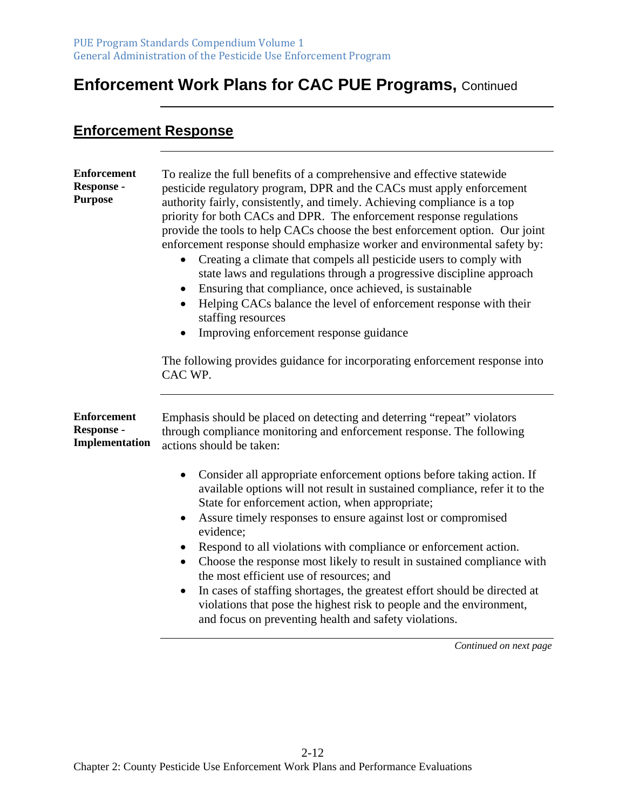#### **Enforcement Response**

| <b>Enforcement</b><br><b>Response -</b><br><b>Purpose</b>        | To realize the full benefits of a comprehensive and effective statewide<br>pesticide regulatory program, DPR and the CACs must apply enforcement<br>authority fairly, consistently, and timely. Achieving compliance is a top<br>priority for both CACs and DPR. The enforcement response regulations<br>provide the tools to help CACs choose the best enforcement option. Our joint<br>enforcement response should emphasize worker and environmental safety by:<br>Creating a climate that compels all pesticide users to comply with<br>state laws and regulations through a progressive discipline approach<br>Ensuring that compliance, once achieved, is sustainable<br>Helping CACs balance the level of enforcement response with their<br>staffing resources<br>Improving enforcement response guidance<br>The following provides guidance for incorporating enforcement response into<br>CAC WP. |
|------------------------------------------------------------------|-------------------------------------------------------------------------------------------------------------------------------------------------------------------------------------------------------------------------------------------------------------------------------------------------------------------------------------------------------------------------------------------------------------------------------------------------------------------------------------------------------------------------------------------------------------------------------------------------------------------------------------------------------------------------------------------------------------------------------------------------------------------------------------------------------------------------------------------------------------------------------------------------------------|
| <b>Enforcement</b><br><b>Response -</b><br><b>Implementation</b> | Emphasis should be placed on detecting and deterring "repeat" violators<br>through compliance monitoring and enforcement response. The following<br>actions should be taken:                                                                                                                                                                                                                                                                                                                                                                                                                                                                                                                                                                                                                                                                                                                                |
|                                                                  | Consider all appropriate enforcement options before taking action. If<br>available options will not result in sustained compliance, refer it to the<br>State for enforcement action, when appropriate;<br>Assure timely responses to ensure against lost or compromised<br>$\bullet$<br>evidence;<br>Respond to all violations with compliance or enforcement action.<br>Choose the response most likely to result in sustained compliance with<br>$\bullet$<br>the most efficient use of resources; and<br>In cases of staffing shortages, the greatest effort should be directed at<br>violations that pose the highest risk to people and the environment,<br>and focus on preventing health and safety violations.                                                                                                                                                                                      |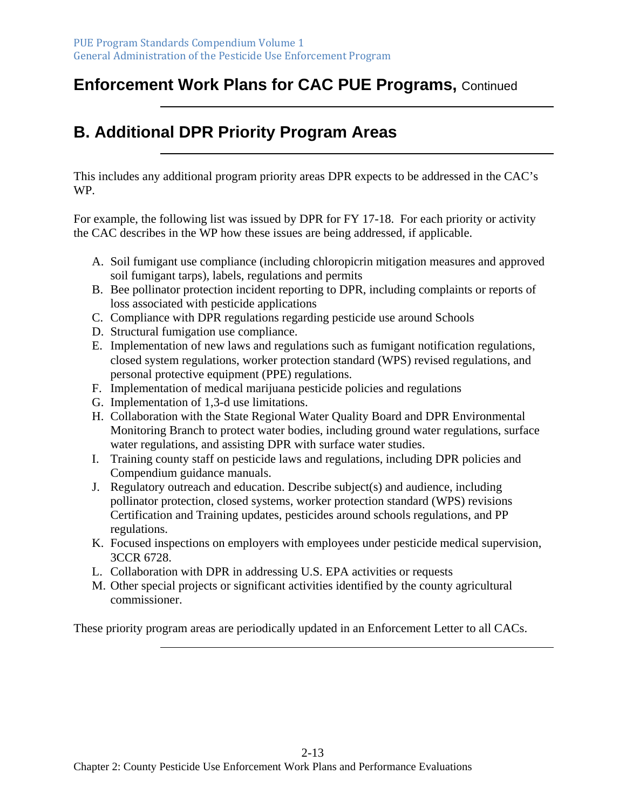# **B. Additional DPR Priority Program Areas**

This includes any additional program priority areas DPR expects to be addressed in the CAC's WP.

For example, the following list was issued by DPR for FY 17-18. For each priority or activity the CAC describes in the WP how these issues are being addressed, if applicable.

- A. Soil fumigant use compliance (including chloropicrin mitigation measures and approved soil fumigant tarps), labels, regulations and permits
- B. Bee pollinator protection incident reporting to DPR, including complaints or reports of loss associated with pesticide applications
- C. Compliance with DPR regulations regarding pesticide use around Schools
- D. Structural fumigation use compliance.
- E. Implementation of new laws and regulations such as fumigant notification regulations, closed system regulations, worker protection standard (WPS) revised regulations, and personal protective equipment (PPE) regulations.
- F. Implementation of medical marijuana pesticide policies and regulations
- G. Implementation of 1,3-d use limitations.
- H. Collaboration with the State Regional Water Quality Board and DPR Environmental Monitoring Branch to protect water bodies, including ground water regulations, surface water regulations, and assisting DPR with surface water studies.
- I. Training county staff on pesticide laws and regulations, including DPR policies and Compendium guidance manuals.
- J. Regulatory outreach and education. Describe subject(s) and audience, including pollinator protection, closed systems, worker protection standard (WPS) revisions Certification and Training updates, pesticides around schools regulations, and PP regulations.
- K. Focused inspections on employers with employees under pesticide medical supervision, 3CCR 6728.
- L. Collaboration with DPR in addressing U.S. EPA activities or requests
- M. Other special projects or significant activities identified by the county agricultural commissioner.

These priority program areas are periodically updated in an Enforcement Letter to all CACs.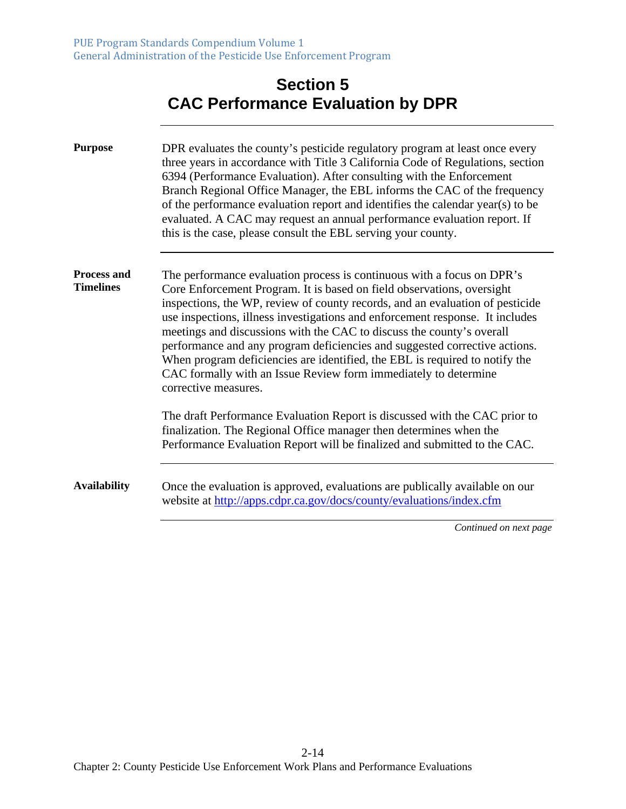## **Section 5 CAC Performance Evaluation by DPR**

| <b>Purpose</b>                         | DPR evaluates the county's pesticide regulatory program at least once every<br>three years in accordance with Title 3 California Code of Regulations, section<br>6394 (Performance Evaluation). After consulting with the Enforcement<br>Branch Regional Office Manager, the EBL informs the CAC of the frequency<br>of the performance evaluation report and identifies the calendar year(s) to be<br>evaluated. A CAC may request an annual performance evaluation report. If<br>this is the case, please consult the EBL serving your county.                                                                                                    |
|----------------------------------------|-----------------------------------------------------------------------------------------------------------------------------------------------------------------------------------------------------------------------------------------------------------------------------------------------------------------------------------------------------------------------------------------------------------------------------------------------------------------------------------------------------------------------------------------------------------------------------------------------------------------------------------------------------|
| <b>Process and</b><br><b>Timelines</b> | The performance evaluation process is continuous with a focus on DPR's<br>Core Enforcement Program. It is based on field observations, oversight<br>inspections, the WP, review of county records, and an evaluation of pesticide<br>use inspections, illness investigations and enforcement response. It includes<br>meetings and discussions with the CAC to discuss the county's overall<br>performance and any program deficiencies and suggested corrective actions.<br>When program deficiencies are identified, the EBL is required to notify the<br>CAC formally with an Issue Review form immediately to determine<br>corrective measures. |
|                                        | The draft Performance Evaluation Report is discussed with the CAC prior to<br>finalization. The Regional Office manager then determines when the<br>Performance Evaluation Report will be finalized and submitted to the CAC.                                                                                                                                                                                                                                                                                                                                                                                                                       |
| <b>Availability</b>                    | Once the evaluation is approved, evaluations are publically available on our<br>website at http://apps.cdpr.ca.gov/docs/county/evaluations/index.cfm                                                                                                                                                                                                                                                                                                                                                                                                                                                                                                |
|                                        | Continued on next page                                                                                                                                                                                                                                                                                                                                                                                                                                                                                                                                                                                                                              |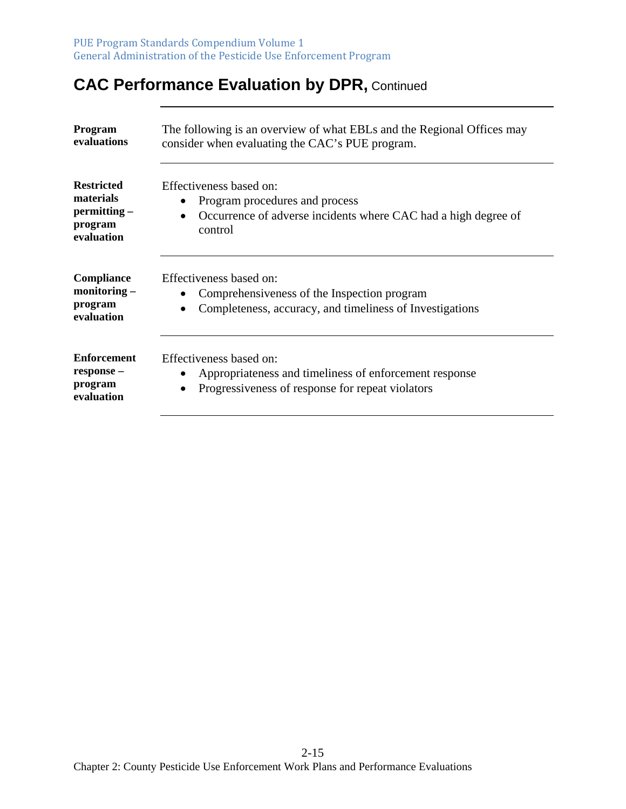# **CAC Performance Evaluation by DPR, Continued**

| <b>Program</b><br>evaluations                                           | The following is an overview of what EBLs and the Regional Offices may<br>consider when evaluating the CAC's PUE program.              |
|-------------------------------------------------------------------------|----------------------------------------------------------------------------------------------------------------------------------------|
| <b>Restricted</b><br>materials<br>permitting -<br>program<br>evaluation | Effectiveness based on:<br>Program procedures and process<br>Occurrence of adverse incidents where CAC had a high degree of<br>control |
| Compliance<br>$\mathbf{monitoring} -$<br>program<br>evaluation          | Effectiveness based on:<br>Comprehensiveness of the Inspection program<br>Completeness, accuracy, and timeliness of Investigations     |
| <b>Enforcement</b><br>response -<br>program<br>evaluation               | Effectiveness based on:<br>Appropriateness and timeliness of enforcement response<br>Progressiveness of response for repeat violators  |